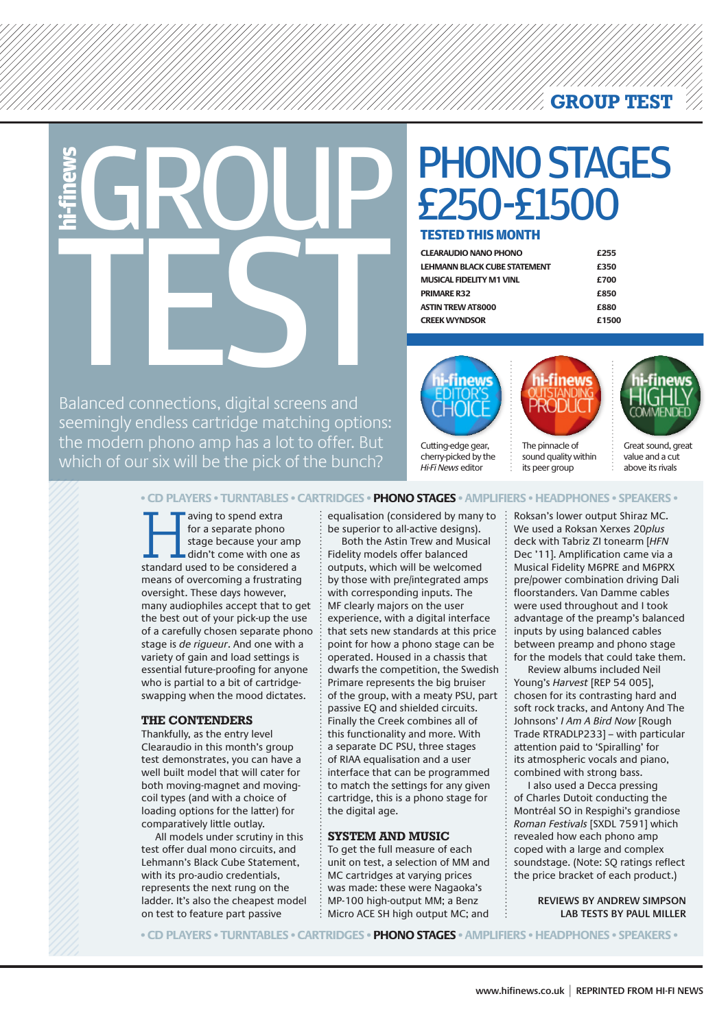**GROUP TEST**

GROUP TESTED THIS<br>
CEARALDIO NANO

### PHONO STAGES £250-£1500

#### **TESTED THIS MONTH**

| £255  |
|-------|
| £350  |
| £700  |
| £850  |
| £880  |
| £1500 |
|       |

Balanced connections, digital screens and seemingly endless cartridge matching options: the modern phono amp has a lot to offer. But which of our six will be the pick of the bunch?



Cutting-edge gear, cherry-picked by the *Hi-Fi News* editor



sound quality within its peer group



Great sound, great value and a cut above its rivals

**• CD PLAYERS • TURNTABLES • CARTRIDGES • PHONO STAGES • AMPLIFIERS • HEADPHONES • SPEAKERS •** 

aving to spend extra<br>
for a separate phono<br>
stage because your amp<br>
didn't come with one as<br>
standard used to be considered a for a separate phono stage because your amp didn't come with one as means of overcoming a frustrating oversight. These days however, many audiophiles accept that to get the best out of your pick-up the use of a carefully chosen separate phono stage is *de rigueur*. And one with a variety of gain and load settings is essential future-proofing for anyone who is partial to a bit of cartridgeswapping when the mood dictates.

#### **the contenders**

Thankfully, as the entry level Clearaudio in this month's group test demonstrates, you can have a well built model that will cater for both moving-magnet and movingcoil types (and with a choice of loading options for the latter) for comparatively little outlay.

All models under scrutiny in this test offer dual mono circuits, and Lehmann's Black Cube Statement, with its pro-audio credentials, represents the next rung on the ladder. It's also the cheapest model on test to feature part passive

equalisation (considered by many to be superior to all-active designs).

Both the Astin Trew and Musical Fidelity models offer balanced outputs, which will be welcomed by those with pre/integrated amps with corresponding inputs. The MF clearly majors on the user experience, with a digital interface that sets new standards at this price point for how a phono stage can be operated. Housed in a chassis that dwarfs the competition, the Swedish Primare represents the big bruiser of the group, with a meaty PSU, part passive EQ and shielded circuits. Finally the Creek combines all of this functionality and more. With a separate DC PSU, three stages of RIAA equalisation and a user interface that can be programmed to match the settings for any given cartridge, this is a phono stage for the digital age.

#### **system and music**

To get the full measure of each unit on test, a selection of MM and MC cartridges at varying prices was made: these were Nagaoka's MP-100 high-output MM; a Benz Micro ACE SH high output MC; and

Roksan's lower output Shiraz MC. We used a Roksan Xerxes 20*plus* deck with Tabriz ZI tonearm [*HFN* Dec '11]. Amplification came via a Musical Fidelity M6PRE and M6PRX pre/power combination driving Dali floorstanders. Van Damme cables were used throughout and I took advantage of the preamp's balanced inputs by using balanced cables between preamp and phono stage for the models that could take them.

Review albums included Neil Young's *Harvest* [REP 54 005], chosen for its contrasting hard and soft rock tracks, and Antony And The Johnsons' *I Am A Bird Now* [Rough Trade RTRADLP233] – with particular attention paid to 'Spiralling' for its atmospheric vocals and piano, combined with strong bass.

I also used a Decca pressing of Charles Dutoit conducting the Montréal SO in Respighi's grandiose *Roman Festivals* [SXDL 7591] which revealed how each phono amp coped with a large and complex soundstage. (Note: SQ ratings reflect the price bracket of each product.)

> **REVIEWS BY ANDREW SIMPSON LAB TESTS BY PAUL MILLER**

**• CD PLAYERS • TURNTABLES • CARTRIDGES • PHONO STAGES • AMPLIFIERS • HEADPHONES • SPEAKERS •**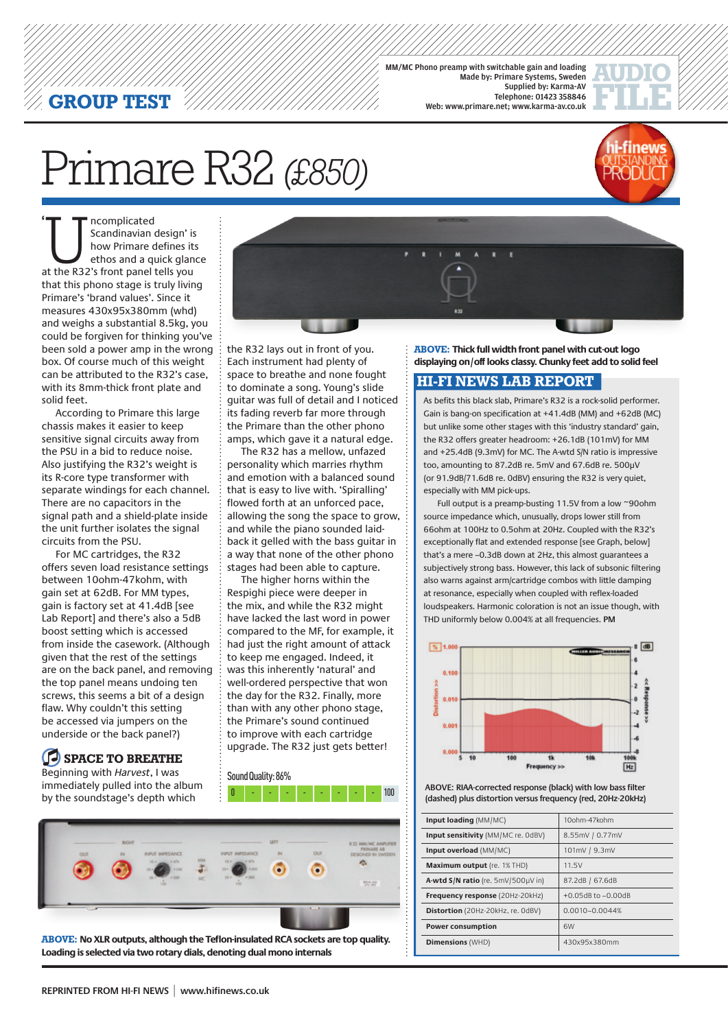#### **GROUP TEST**

MM/MC Phono preamp with switchable gain and loading Made by: Primare Systems, Sweden Supplied by: Karma-AV Telephone: 01423 358846 Web: www.primare.net; www.karma-av.co.uk



## Primare R32 *(£850)*



**Examplicated**<br> **Scandinavian design' is<br>
how Primare defines it:<br>
ethos and a quick glan<br>
at the R32's front panel tells you** Scandinavian design' is how Primare defines its ethos and a quick glance that this phono stage is truly living Primare's 'brand values'. Since it measures 430x95x380mm (whd) and weighs a substantial 8.5kg, you could be forgiven for thinking you've been sold a power amp in the wrong box. Of course much of this weight can be attributed to the R32's case, with its 8mm-thick front plate and solid feet. **'**

According to Primare this large chassis makes it easier to keep sensitive signal circuits away from the PSU in a bid to reduce noise. Also justifying the R32's weight is its R-core type transformer with separate windings for each channel. There are no capacitors in the signal path and a shield-plate inside the unit further isolates the signal circuits from the PSU.

For MC cartridges, the R32 offers seven load resistance settings between 10ohm-47kohm, with gain set at 62dB. For MM types, gain is factory set at 41.4dB [see Lab Report] and there's also a 5dB boost setting which is accessed from inside the casework. (Although given that the rest of the settings are on the back panel, and removing the top panel means undoing ten screws, this seems a bit of a design flaw. Why couldn't this setting be accessed via jumpers on the underside or the back panel?)

**space to breathe** Beginning with *Harvest*, I was immediately pulled into the album by the soundstage's depth which

the R32 lays out in front of you. Each instrument had plenty of space to breathe and none fought to dominate a song. Young's slide guitar was full of detail and I noticed its fading reverb far more through the Primare than the other phono amps, which gave it a natural edge.

The R32 has a mellow, unfazed personality which marries rhythm and emotion with a balanced sound that is easy to live with. 'Spiralling' flowed forth at an unforced pace, allowing the song the space to grow, and while the piano sounded laidback it gelled with the bass guitar in a way that none of the other phono stages had been able to capture.

The higher horns within the Respighi piece were deeper in the mix, and while the R32 might have lacked the last word in power compared to the MF, for example, it had just the right amount of attack to keep me engaged. Indeed, it was this inherently 'natural' and well-ordered perspective that won the day for the R32. Finally, more than with any other phono stage, the Primare's sound continued to improve with each cartridge upgrade. The R32 just gets better!

Sound Quality: 86% 0 - - - - - - - - 100



**above: No XLR outputs, although the Teflon-insulated RCA sockets are top quality. Loading is selected via two rotary dials, denoting dual mono internals**

**above: Thick full width front panel with cut-out logo displaying on/off looks classy. Chunky feet add to solid feel** 

#### **HI-FI NEWS LAB REPORT**

As befits this black slab, Primare's R32 is a rock-solid performer. Gain is bang-on specification at +41.4dB (MM) and +62dB (MC) but unlike some other stages with this 'industry standard' gain, the R32 offers greater headroom: +26.1dB (101mV) for MM and +25.4dB (9.3mV) for MC. The A-wtd S/N ratio is impressive too, amounting to 87.2dB re. 5mV and 67.6dB re. 500μV (or 91.9dB/71.6dB re. 0dBV) ensuring the R32 is very quiet, especially with MM pick-ups.

Full output is a preamp-busting 11.5V from a low ~90ohm source impedance which, unusually, drops lower still from 66ohm at 100Hz to 0.5ohm at 20Hz. Coupled with the R32's exceptionally flat and extended response [see Graph, below] that's a mere –0.3dB down at 2Hz, this almost guarantees a subjectively strong bass. However, this lack of subsonic filtering also warns against arm/cartridge combos with little damping at resonance, especially when coupled with reflex-loaded loudspeakers. Harmonic coloration is not an issue though, with THD uniformly below 0.004% at all frequencies. **PM**



**ABOVE: RIAA-corrected response (black) with low bass filter (dashed) plus distortion versus frequency (red, 20Hz-20kHz)**

| Input loading (MM/MC)                  | 10ohm-47kohm       |
|----------------------------------------|--------------------|
| Input sensitivity (MM/MC re. 0dBV)     | 8.55mV / 0.77mV    |
| Input overload (MM/MC)                 | 101mV / 9.3mV      |
| Maximum output (re. 1% THD)            | 11.5V              |
| A-wtd S/N ratio (re. 5mV/500µV in)     | 87.2dB / 67.6dB    |
| <b>Frequency response (20Hz-20kHz)</b> | +0.05dB to -0.00dB |
| Distortion (20Hz-20kHz, re. OdBV)      | $0.0010 - 0.0044%$ |
| <b>Power consumption</b>               | 6W                 |
| <b>Dimensions (WHD)</b>                | 430x95x380mm       |